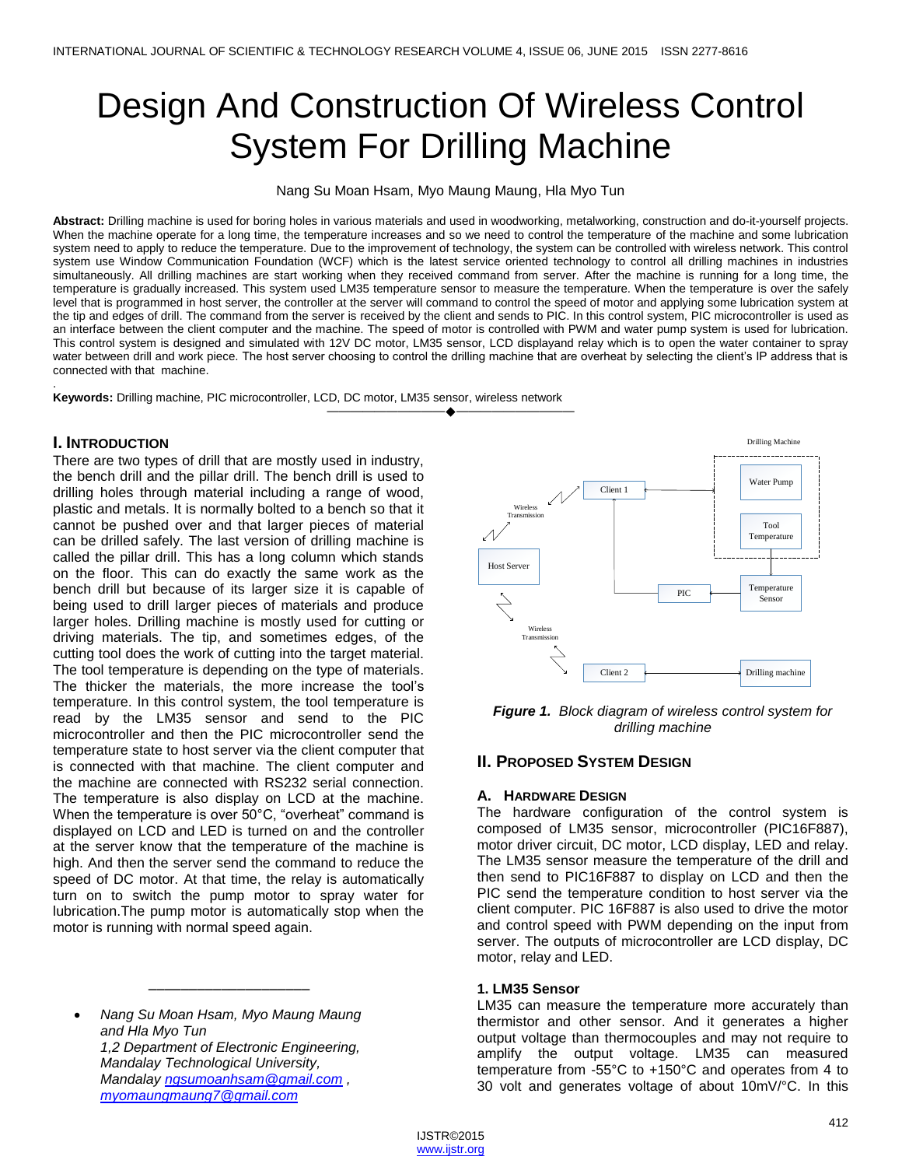# Design And Construction Of Wireless Control System For Drilling Machine

Nang Su Moan Hsam, Myo Maung Maung, Hla Myo Tun

**Abstract:** Drilling machine is used for boring holes in various materials and used i[n woodworking,](http://en.wikipedia.org/wiki/Woodworking) [metalworking,](http://en.wikipedia.org/wiki/Metalworking) construction an[d do-it-yourself](http://en.wikipedia.org/wiki/Do-it-yourself) projects. When the machine operate for a long time, the temperature increases and so we need to control the temperature of the machine and some lubrication system need to apply to reduce the temperature. Due to the improvement of technology, the system can be controlled with wireless network. This control system use Window Communication Foundation (WCF) which is the latest service oriented technology to control all drilling machines in industries simultaneously. All drilling machines are start working when they received command from server. After the machine is running for a long time, the temperature is gradually increased. This system used LM35 temperature sensor to measure the temperature. When the temperature is over the safely level that is programmed in host server, the controller at the server will command to control the speed of motor and applying some lubrication system at the tip and edges of drill. The command from the server is received by the client and sends to PIC. In this control system, PIC microcontroller is used as an interface between the client computer and the machine. The speed of motor is controlled with PWM and water pump system is used for lubrication. This control system is designed and simulated with 12V DC motor, LM35 sensor, LCD displayand relay which is to open the water container to spray water between drill and work piece. The host server choosing to control the drilling machine that are overheat by selecting the client's IP address that is connected with that machine.

. **Keywords:** Drilling machine, PIC microcontroller, LCD, DC motor, LM35 sensor, wireless network

### **I. INTRODUCTION**

There are two types of drill that are mostly used in industry, the bench drill and the pillar drill. The bench drill is used to drilling holes through material including a range of wood, plastic and metals. It is normally bolted to a bench so that it cannot be pushed over and that larger pieces of material can be drilled safely. The last version of drilling machine is called the pillar drill. This has a long column which stands on the floor. This can do exactly the same work as the bench drill but because of its larger size it is capable of being used to drill larger pieces of materials and produce larger holes. Drilling machine is mostly used for cutting or driving materials. The tip, and sometimes edges, of the cutting tool does the work of cutting into the target material. The tool temperature is depending on the type of materials. The thicker the materials, the more increase the tool's temperature. In this control system, the tool temperature is read by the LM35 sensor and send to the PIC microcontroller and then the PIC microcontroller send the temperature state to host server via the client computer that is connected with that machine. The client computer and the machine are connected with RS232 serial connection. The temperature is also display on LCD at the machine. When the temperature is over 50°C, "overheat" command is displayed on LCD and LED is turned on and the controller at the server know that the temperature of the machine is high. And then the server send the command to reduce the speed of DC motor. At that time, the relay is automatically turn on to switch the pump motor to spray water for lubrication.The pump motor is automatically stop when the motor is running with normal speed again.

 *Nang Su Moan Hsam, Myo Maung Maung and Hla Myo Tun 1,2 Department of Electronic Engineering, Mandalay Technological University, Mandalay [ngsumoanhsam@gmail.com](mailto:ngsumoanhsam@gmail.com) , [myomaungmaung7@gmail.com](mailto:myomaungmaung7@gmail.com)*

\_\_\_\_\_\_\_\_\_\_\_\_\_\_\_\_\_\_\_\_



*Figure 1. Block diagram of wireless control system for drilling machine*

# **II. PROPOSED SYSTEM DESIGN**

#### **A. HARDWARE DESIGN**

The hardware configuration of the control system is composed of LM35 sensor, microcontroller (PIC16F887), motor driver circuit, DC motor, LCD display, LED and relay. The LM35 sensor measure the temperature of the drill and then send to PIC16F887 to display on LCD and then the PIC send the temperature condition to host server via the client computer. PIC 16F887 is also used to drive the motor and control speed with PWM depending on the input from server. The outputs of microcontroller are LCD display, DC motor, relay and LED.

#### **1. LM35 Sensor**

LM35 can measure the temperature more accurately than thermistor and other sensor. And it generates a higher output voltage than thermocouples and may not require to amplify the output voltage. LM35 can measured temperature from -55°C to +150°C and operates from 4 to 30 volt and generates voltage of about 10mV/°C. In this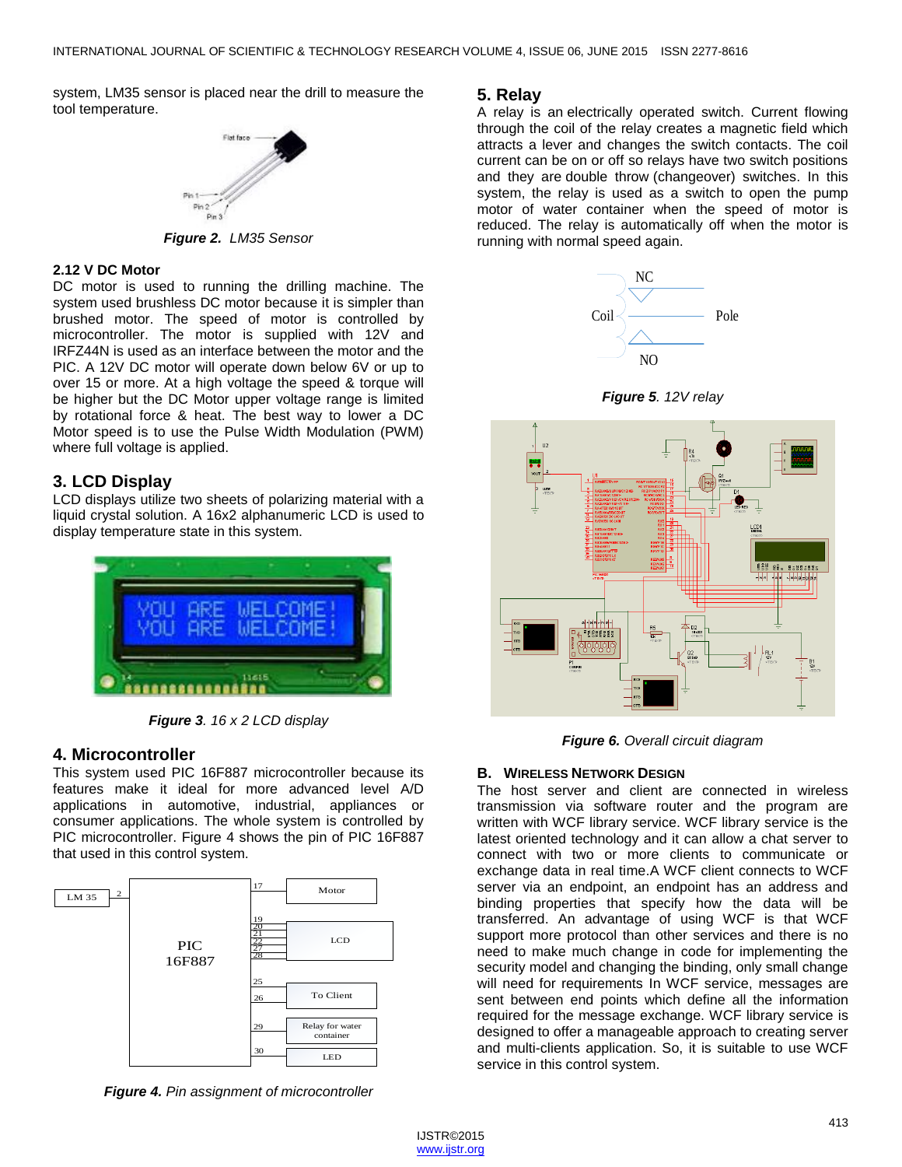system, LM35 sensor is placed near the drill to measure the tool temperature.



*Figure 2. LM35 Sensor*

#### **2.12 V DC Motor**

DC motor is used to running the drilling machine. The system used brushless DC motor because it is simpler than brushed motor. The speed of motor is controlled by microcontroller. The motor is supplied with 12V and IRFZ44N is used as an interface between the motor and the PIC. A 12V DC motor will operate down below 6V or up to over 15 or more. At a high voltage the speed & torque will be higher but the DC Motor upper voltage range is limited by rotational force & heat. The best way to lower a DC Motor speed is to use the Pulse Width Modulation (PWM) where full voltage is applied.

# **3. LCD Display**

LCD displays utilize two sheets of polarizing material with a liquid crystal solution. A 16x2 alphanumeric LCD is used to display temperature state in this system.



*Figure 3. 16 x 2 LCD display*

# **4. Microcontroller**

This system used PIC 16F887 microcontroller because its features make it ideal for more advanced level A/D applications in automotive, industrial, appliances or consumer applications. The whole system is controlled by PIC microcontroller. Figure 4 shows the pin of PIC 16F887 that used in this control system.



*Figure 4. Pin assignment of microcontroller*

## **5. Relay**

A [relay](http://www.buildcircuit.com/how-to-use-a-relay/) is an electrically operated switch. Current flowing through the coil of the relay creates a magnetic field which attracts a lever and changes the switch contacts. The coil current can be on or off so relays have two switch positions and they are double throw (changeover) switches. In this system, the relay is used as a switch to open the pump motor of water container when the speed of motor is reduced. The relay is automatically off when the motor is running with normal speed again.



*Figure 5. 12V relay*



*Figure 6. Overall circuit diagram*

#### **B. WIRELESS NETWORK DESIGN**

The host server and client are connected in wireless transmission via software router and the program are written with WCF library service. WCF library service is the latest oriented technology and it can allow a chat server to connect with two or more clients to communicate or exchange data in real time.A WCF client connects to WCF server via an endpoint, an endpoint has an address and binding properties that specify how the data will be transferred. An advantage of using WCF is that WCF support more protocol than other services and there is no need to make much change in code for implementing the security model and changing the binding, only small change will need for requirements In WCF service, messages are sent between end points which define all the information required for the message exchange. WCF library service is designed to offer a manageable approach to creating server and multi-clients application. So, it is suitable to use WCF service in this control system.

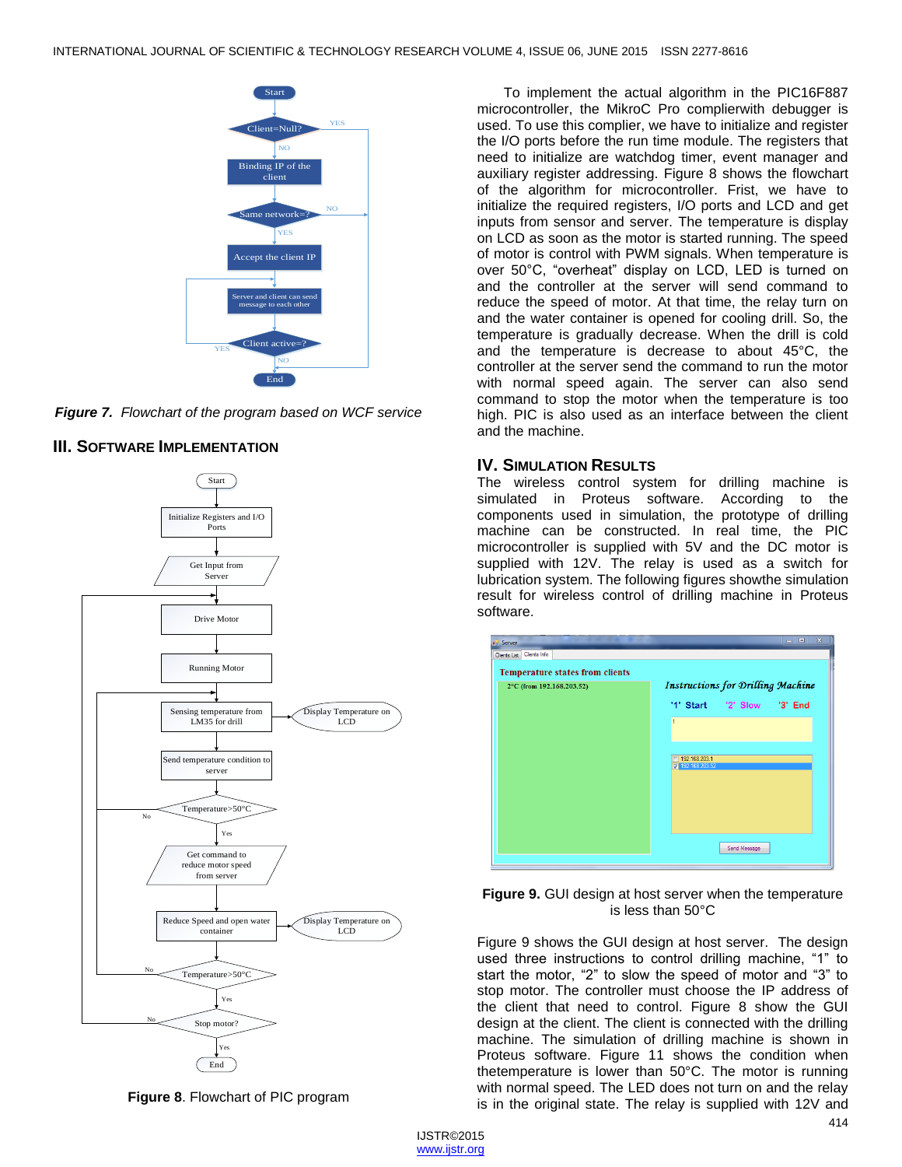



# **III. SOFTWARE IMPLEMENTATION**



**Figure 8**. Flowchart of PIC program

To implement the actual algorithm in the PIC16F887 microcontroller, the MikroC Pro complierwith debugger is used. To use this complier, we have to initialize and register the I/O ports before the run time module. The registers that need to initialize are watchdog timer, event manager and auxiliary register addressing. Figure 8 shows the flowchart of the algorithm for microcontroller. Frist, we have to initialize the required registers, I/O ports and LCD and get inputs from sensor and server. The temperature is display on LCD as soon as the motor is started running. The speed of motor is control with PWM signals. When temperature is over 50°C, "overheat" display on LCD, LED is turned on and the controller at the server will send command to reduce the speed of motor. At that time, the relay turn on and the water container is opened for cooling drill. So, the temperature is gradually decrease. When the drill is cold and the temperature is decrease to about 45°C, the controller at the server send the command to run the motor with normal speed again. The server can also send command to stop the motor when the temperature is too high. PIC is also used as an interface between the client and the machine.

# **IV. SIMULATION RESULTS**

The wireless control system for drilling machine is simulated in Proteus software. According to the components used in simulation, the prototype of drilling machine can be constructed. In real time, the PIC microcontroller is supplied with 5V and the DC motor is supplied with 12V. The relay is used as a switch for lubrication system. The following figures showthe simulation result for wireless control of drilling machine in Proteus software.





Figure 9 shows the GUI design at host server. The design used three instructions to control drilling machine, "1" to start the motor, "2" to slow the speed of motor and "3" to stop motor. The controller must choose the IP address of the client that need to control. Figure 8 show the GUI design at the client. The client is connected with the drilling machine. The simulation of drilling machine is shown in Proteus software. Figure 11 shows the condition when thetemperature is lower than 50°C. The motor is running with normal speed. The LED does not turn on and the relay is in the original state. The relay is supplied with 12V and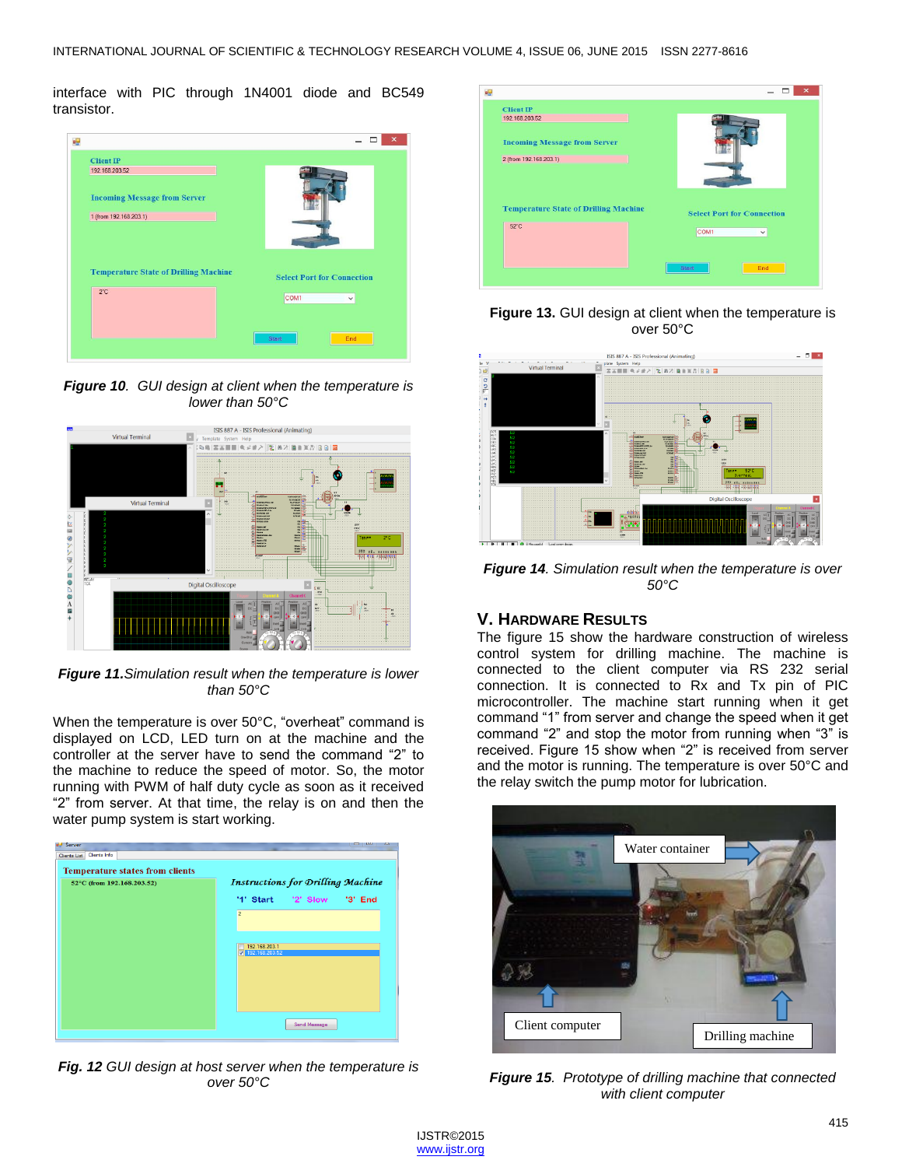interface with PIC through 1N4001 diode and BC549 transistor.



*Figure 10. GUI design at client when the temperature is lower than 50°C*



*Figure 11.Simulation result when the temperature is lower than 50°C*

When the temperature is over 50°C, "overheat" command is displayed on LCD, LED turn on at the machine and the controller at the server have to send the command "2" to the machine to reduce the speed of motor. So, the motor running with PWM of half duty cycle as soon as it received "2" from server. At that time, the relay is on and then the water pump system is start working.



*Fig. 12 GUI design at host server when the temperature is over 50°C*



**Figure 13.** GUI design at client when the temperature is over 50°C



*Figure 14. Simulation result when the temperature is over 50°C*

## **V. HARDWARE RESULTS**

The figure 15 show the hardware construction of wireless control system for drilling machine. The machine is connected to the client computer via RS 232 serial connection. It is connected to Rx and Tx pin of PIC microcontroller. The machine start running when it get command "1" from server and change the speed when it get command "2" and stop the motor from running when "3" is received. Figure 15 show when "2" is received from server and the motor is running. The temperature is over 50°C and the relay switch the pump motor for lubrication.



*Figure 15. Prototype of drilling machine that connected with client computer*